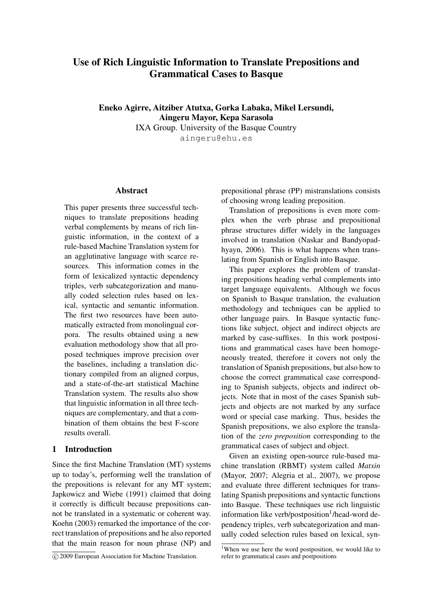# Use of Rich Linguistic Information to Translate Prepositions and Grammatical Cases to Basque

Eneko Agirre, Aitziber Atutxa, Gorka Labaka, Mikel Lersundi, Aingeru Mayor, Kepa Sarasola IXA Group. University of the Basque Country

aingeru@ehu.es

#### Abstract

This paper presents three successful techniques to translate prepositions heading verbal complements by means of rich linguistic information, in the context of a rule-based Machine Translation system for an agglutinative language with scarce resources. This information comes in the form of lexicalized syntactic dependency triples, verb subcategorization and manually coded selection rules based on lexical, syntactic and semantic information. The first two resources have been automatically extracted from monolingual corpora. The results obtained using a new evaluation methodology show that all proposed techniques improve precision over the baselines, including a translation dictionary compiled from an aligned corpus, and a state-of-the-art statistical Machine Translation system. The results also show that linguistic information in all three techniques are complementary, and that a combination of them obtains the best F-score results overall.

### 1 Introduction

Since the first Machine Translation (MT) systems up to today's, performing well the translation of the prepositions is relevant for any MT system; Japkowicz and Wiebe (1991) claimed that doing it correctly is difficult because prepositions cannot be translated in a systematic or coherent way. Koehn (2003) remarked the importance of the correct translation of prepositions and he also reported that the main reason for noun phrase (NP) and

prepositional phrase (PP) mistranslations consists of choosing wrong leading preposition.

Translation of prepositions is even more complex when the verb phrase and prepositional phrase structures differ widely in the languages involved in translation (Naskar and Bandyopadhyayn, 2006). This is what happens when translating from Spanish or English into Basque.

This paper explores the problem of translating prepositions heading verbal complements into target language equivalents. Although we focus on Spanish to Basque translation, the evaluation methodology and techniques can be applied to other language pairs. In Basque syntactic functions like subject, object and indirect objects are marked by case-suffixes. In this work postpositions and grammatical cases have been homogeneously treated, therefore it covers not only the translation of Spanish prepositions, but also how to choose the correct grammatical case corresponding to Spanish subjects, objects and indirect objects. Note that in most of the cases Spanish subjects and objects are not marked by any surface word or special case marking. Thus, besides the Spanish prepositions, we also explore the translation of the *zero preposition* corresponding to the grammatical cases of subject and object.

Given an existing open-source rule-based machine translation (RBMT) system called *Matxin* (Mayor, 2007; Alegria et al., 2007), we propose and evaluate three different techniques for translating Spanish prepositions and syntactic functions into Basque. These techniques use rich linguistic information like verb/postposition<sup>1</sup>/head-word dependency triples, verb subcategorization and manually coded selection rules based on lexical, syn-

c 2009 European Association for Machine Translation.

<sup>&</sup>lt;sup>1</sup>When we use here the word postposition, we would like to refer to grammatical cases and postpositions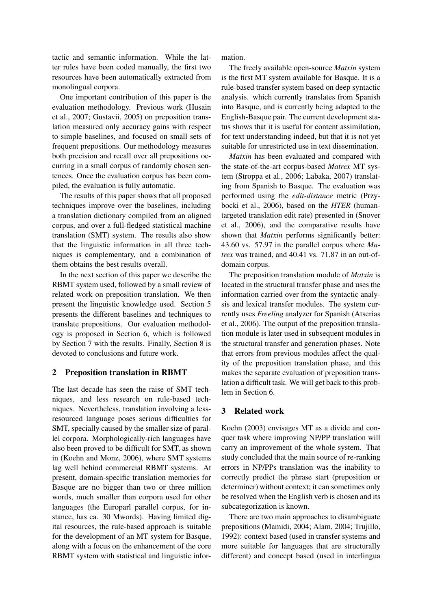tactic and semantic information. While the latter rules have been coded manually, the first two resources have been automatically extracted from monolingual corpora.

One important contribution of this paper is the evaluation methodology. Previous work (Husain et al., 2007; Gustavii, 2005) on preposition translation measured only accuracy gains with respect to simple baselines, and focused on small sets of frequent prepositions. Our methodology measures both precision and recall over all prepositions occurring in a small corpus of randomly chosen sentences. Once the evaluation corpus has been compiled, the evaluation is fully automatic.

The results of this paper shows that all proposed techniques improve over the baselines, including a translation dictionary compiled from an aligned corpus, and over a full-fledged statistical machine translation (SMT) system. The results also show that the linguistic information in all three techniques is complementary, and a combination of them obtains the best results overall.

In the next section of this paper we describe the RBMT system used, followed by a small review of related work on preposition translation. We then present the linguistic knowledge used. Section 5 presents the different baselines and techniques to translate prepositions. Our evaluation methodology is proposed in Section 6, which is followed by Section 7 with the results. Finally, Section 8 is devoted to conclusions and future work.

## 2 Preposition translation in RBMT

The last decade has seen the raise of SMT techniques, and less research on rule-based techniques. Nevertheless, translation involving a lessresourced language poses serious difficulties for SMT, specially caused by the smaller size of parallel corpora. Morphologically-rich languages have also been proved to be difficult for SMT, as shown in (Koehn and Monz, 2006), where SMT systems lag well behind commercial RBMT systems. At present, domain-specific translation memories for Basque are no bigger than two or three million words, much smaller than corpora used for other languages (the Europarl parallel corpus, for instance, has ca. 30 Mwords). Having limited digital resources, the rule-based approach is suitable for the development of an MT system for Basque, along with a focus on the enhancement of the core RBMT system with statistical and linguistic information.

The freely available open-source *Matxin* system is the first MT system available for Basque. It is a rule-based transfer system based on deep syntactic analysis. which currently translates from Spanish into Basque, and is currently being adapted to the English-Basque pair. The current development status shows that it is useful for content assimilation, for text understanding indeed, but that it is not yet suitable for unrestricted use in text dissemination.

*Matxin* has been evaluated and compared with the state-of-the-art corpus-based *Matrex* MT system (Stroppa et al., 2006; Labaka, 2007) translating from Spanish to Basque. The evaluation was performed using the *edit-distance* metric (Przybocki et al., 2006), based on the *HTER* (humantargeted translation edit rate) presented in (Snover et al., 2006), and the comparative results have shown that *Matxin* performs significantly better: 43.60 vs. 57.97 in the parallel corpus where *Matrex* was trained, and 40.41 vs. 71.87 in an out-ofdomain corpus.

The preposition translation module of *Matxin* is located in the structural transfer phase and uses the information carried over from the syntactic analysis and lexical transfer modules. The system currently uses *Freeling* analyzer for Spanish (Atserias et al., 2006). The output of the preposition translation module is later used in subsequent modules in the structural transfer and generation phases. Note that errors from previous modules affect the quality of the preposition translation phase, and this makes the separate evaluation of preposition translation a difficult task. We will get back to this problem in Section 6.

## 3 Related work

Koehn (2003) envisages MT as a divide and conquer task where improving NP/PP translation will carry an improvement of the whole system. That study concluded that the main source of re-ranking errors in NP/PPs translation was the inability to correctly predict the phrase start (preposition or determiner) without context; it can sometimes only be resolved when the English verb is chosen and its subcategorization is known.

There are two main approaches to disambiguate prepositions (Mamidi, 2004; Alam, 2004; Trujillo, 1992): context based (used in transfer systems and more suitable for languages that are structurally different) and concept based (used in interlingua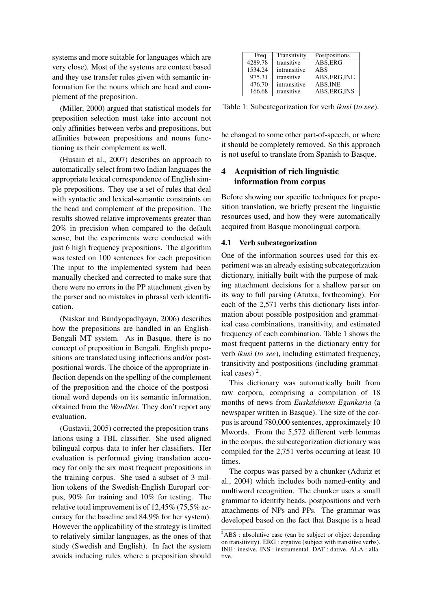systems and more suitable for languages which are very close). Most of the systems are context based and they use transfer rules given with semantic information for the nouns which are head and complement of the preposition.

(Miller, 2000) argued that statistical models for preposition selection must take into account not only affinities between verbs and prepositions, but affinities between prepositions and nouns functioning as their complement as well.

(Husain et al., 2007) describes an approach to automatically select from two Indian languages the appropriate lexical correspondence of English simple prepositions. They use a set of rules that deal with syntactic and lexical-semantic constraints on the head and complement of the preposition. The results showed relative improvements greater than 20% in precision when compared to the default sense, but the experiments were conducted with just 6 high frequency prepositions. The algorithm was tested on 100 sentences for each preposition The input to the implemented system had been manually checked and corrected to make sure that there were no errors in the PP attachment given by the parser and no mistakes in phrasal verb identification.

(Naskar and Bandyopadhyayn, 2006) describes how the prepositions are handled in an English-Bengali MT system. As in Basque, there is no concept of preposition in Bengali. English prepositions are translated using inflections and/or postpositional words. The choice of the appropriate inflection depends on the spelling of the complement of the preposition and the choice of the postpositional word depends on its semantic information, obtained from the *WordNet*. They don't report any evaluation.

(Gustavii, 2005) corrected the preposition translations using a TBL classifier. She used aligned bilingual corpus data to infer her classifiers. Her evaluation is performed giving translation accuracy for only the six most frequent prepositions in the training corpus. She used a subset of 3 million tokens of the Swedish-English Europarl corpus, 90% for training and 10% for testing. The relative total improvement is of 12,45% (75,5% accuracy for the baseline and 84.9% for her system). However the applicability of the strategy is limited to relatively similar languages, as the ones of that study (Swedish and English). In fact the system avoids inducing rules where a preposition should

| Freq.   | Transitivity | Postpositions |
|---------|--------------|---------------|
| 4289.78 | transitive   | ABS, ERG      |
| 1534.24 | intransitive | <b>ABS</b>    |
| 975.31  | transitive   | ABS, ERG, INE |
| 476.70  | intransitive | ABS, INE      |
| 166.68  | transitive   | ABS, ERG, INS |

Table 1: Subcategorization for verb *ikusi* (*to see*).

be changed to some other part-of-speech, or where it should be completely removed. So this approach is not useful to translate from Spanish to Basque.

# 4 Acquisition of rich linguistic information from corpus

Before showing our specific techniques for preposition translation, we briefly present the linguistic resources used, and how they were automatically acquired from Basque monolingual corpora.

#### 4.1 Verb subcategorization

One of the information sources used for this experiment was an already existing subcategorization dictionary, initially built with the purpose of making attachment decisions for a shallow parser on its way to full parsing (Atutxa, forthcoming). For each of the 2,571 verbs this dictionary lists information about possible postposition and grammatical case combinations, transitivity, and estimated frequency of each combination. Table 1 shows the most frequent patterns in the dictionary entry for verb *ikusi* (*to see*), including estimated frequency, transitivity and postpositions (including grammatical cases)  $<sup>2</sup>$ .</sup>

This dictionary was automatically built from raw corpora, comprising a compilation of 18 months of news from *Euskaldunon Egunkaria* (a newspaper written in Basque). The size of the corpus is around 780,000 sentences, approximately 10 Mwords. From the 5,572 different verb lemmas in the corpus, the subcategorization dictionary was compiled for the 2,751 verbs occurring at least 10 times.

The corpus was parsed by a chunker (Aduriz et al., 2004) which includes both named-entity and multiword recognition. The chunker uses a small grammar to identify heads, postpositions and verb attachments of NPs and PPs. The grammar was developed based on the fact that Basque is a head

<sup>&</sup>lt;sup>2</sup>ABS : absolutive case (can be subject or object depending on transitivity). ERG : ergative (subject with transitive verbs). INE : inesive. INS : instrumental. DAT : dative. ALA : allative.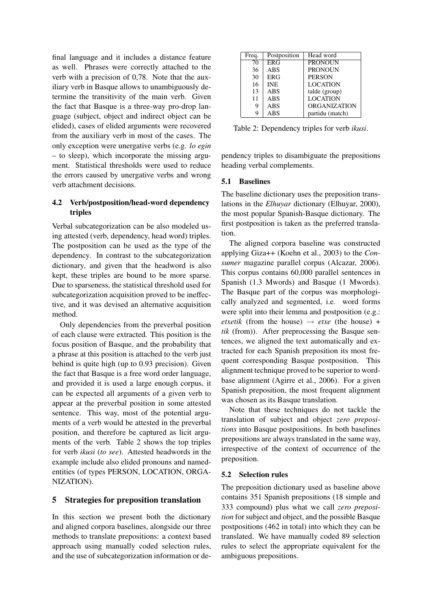final language and it includes a distance feature as well. Phrases were correctly attached to the verb with a precision of 0,78. Note that the auxiliary verb in Basque allows to unambiguously determine the transitivity of the main verb. Given the fact that Basque is a three-way pro-drop language (subject, object and indirect object can be elided), cases of elided arguments were recovered from the auxiliary verb in most of the cases. The only exception were unergative verbs (e.g. *lo egin* – to sleep), which incorporate the missing argument. Statistical thresholds were used to reduce the errors caused by unergative verbs and wrong verb attachment decisions.

## 4.2 Verb/postposition/head-word dependency triples

Verbal subcategorization can be also modeled using attested (verb, dependency, head word) triples. The postposition can be used as the type of the dependency. In contrast to the subcategorization dictionary, and given that the headword is also kept, these triples are bound to be more sparse. Due to sparseness, the statistical threshold used for subcategorization acquisition proved to be ineffective, and it was devised an alternative acquisition method.

Only dependencies from the preverbal position of each clause were extracted. This position is the focus position of Basque, and the probability that a phrase at this position is attached to the verb just behind is quite high (up to 0.93 precision). Given the fact that Basque is a free word order language, and provided it is used a large enough corpus, it can be expected all arguments of a given verb to appear at the preverbal position in some attested sentence. This way, most of the potential arguments of a verb would be attested in the preverbal position, and therefore be captured as licit arguments of the verb. Table 2 shows the top triples for verb *ikusi* (*to see*). Attested headwords in the example include also elided pronouns and namedentities (of types PERSON, LOCATION, ORGA-NIZATION).

## 5 Strategies for preposition translation

In this section we present both the dictionary and aligned corpora baselines, alongside our three methods to translate prepositions: a context based approach using manually coded selection rules, and the use of subcategorization information or de-

| Freq. | Postposition | Head word           |
|-------|--------------|---------------------|
| 70    | <b>ERG</b>   | <b>PRONOUN</b>      |
| 36    | <b>ABS</b>   | <b>PRONOUN</b>      |
| 30    | <b>ERG</b>   | <b>PERSON</b>       |
| 16    | <b>INE</b>   | <b>LOCATION</b>     |
| 13    | <b>ABS</b>   | talde (group)       |
| 11    | <b>ABS</b>   | <b>LOCATION</b>     |
| 9     | <b>ABS</b>   | <b>ORGANIZATION</b> |
| q     | <b>ABS</b>   | partidu (match)     |

Table 2: Dependency triples for verb *ikusi*.

pendency triples to disambiguate the prepositions heading verbal complements.

#### 5.1 Baselines

The baseline dictionary uses the preposition translations in the *Elhuyar* dictionary (Elhuyar, 2000), the most popular Spanish-Basque dictionary. The first postposition is taken as the preferred translation.

The aligned corpora baseline was constructed applying Giza++ (Koehn et al., 2003) to the *Consumer* magazine parallel corpus (Alcazar, 2006). This corpus contains 60,000 parallel sentences in Spanish (1.3 Mwords) and Basque (1 Mwords). The Basque part of the corpus was morphologically analyzed and segmented, i.e. word forms were split into their lemma and postposition (e.g.: *etxetik* (from the house)  $\rightarrow$  *etxe* (the house) + *tik* (from)). After preprocessing the Basque sentences, we aligned the text automatically and extracted for each Spanish preposition its most frequent corresponding Basque postposition. This alignment technique proved to be superior to wordbase alignment (Agirre et al., 2006). For a given Spanish preposition, the most frequent alignment was chosen as its Basque translation.

Note that these techniques do not tackle the translation of subject and object *zero prepositions* into Basque postpositions. In both baselines prepositions are always translated in the same way, irrespective of the context of occurrence of the preposition.

#### 5.2 Selection rules

The preposition dictionary used as baseline above contains 351 Spanish prepositions (18 simple and 333 compound) plus what we call *zero preposition* for subject and object, and the possible Basque postpositions (462 in total) into which they can be translated. We have manually coded 89 selection rules to select the appropriate equivalent for the ambiguous prepositions.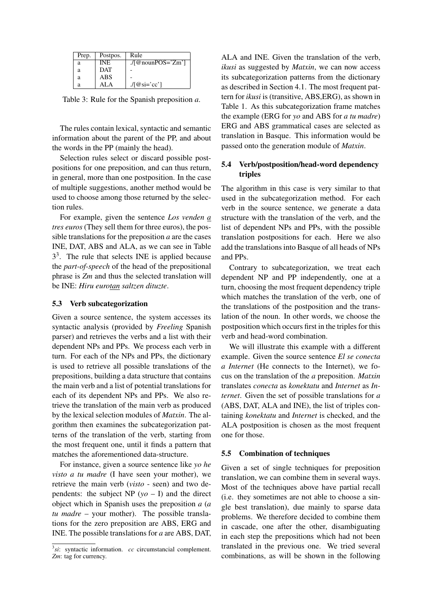| Prep. | Postpos.   | Rule                           |
|-------|------------|--------------------------------|
| а     | <b>INE</b> | $\sqrt{q}$ nounPOS='Zm']       |
| a     | <b>DAT</b> |                                |
| a     | <b>ABS</b> |                                |
| а     | AL A       | $\sqrt{ \omega_{\rm Si}=c^2 }$ |

Table 3: Rule for the Spanish preposition *a*.

The rules contain lexical, syntactic and semantic information about the parent of the PP, and about the words in the PP (mainly the head).

Selection rules select or discard possible postpositions for one preposition, and can thus return, in general, more than one postposition. In the case of multiple suggestions, another method would be used to choose among those returned by the selection rules.

For example, given the sentence *Los venden a tres euros* (They sell them for three euros), the possible translations for the preposition *a* are the cases INE, DAT, ABS and ALA, as we can see in Table 3 3 . The rule that selects INE is applied because the *part-of-speech* of the head of the prepositional phrase is *Zm* and thus the selected translation will be INE: *Hiru eurotan saltzen dituzte*.

#### 5.3 Verb subcategorization

Given a source sentence, the system accesses its syntactic analysis (provided by *Freeling* Spanish parser) and retrieves the verbs and a list with their dependent NPs and PPs. We process each verb in turn. For each of the NPs and PPs, the dictionary is used to retrieve all possible translations of the prepositions, building a data structure that contains the main verb and a list of potential translations for each of its dependent NPs and PPs. We also retrieve the translation of the main verb as produced by the lexical selection modules of *Matxin*. The algorithm then examines the subcategorization patterns of the translation of the verb, starting from the most frequent one, until it finds a pattern that matches the aforementioned data-structure.

For instance, given a source sentence like *yo he visto a tu madre* (I have seen your mother), we retrieve the main verb (*visto* - seen) and two dependents: the subject  $NP(yo - I)$  and the direct object which in Spanish uses the preposition *a* (*a tu madre* – your mother). The possible translations for the zero preposition are ABS, ERG and INE. The possible translations for *a* are ABS, DAT,

ALA and INE. Given the translation of the verb, *ikusi* as suggested by *Matxin*, we can now access its subcategorization patterns from the dictionary as described in Section 4.1. The most frequent pattern for *ikusi* is (transitive, ABS,ERG), as shown in Table 1. As this subcategorization frame matches the example (ERG for *yo* and ABS for *a tu madre*) ERG and ABS grammatical cases are selected as translation in Basque. This information would be passed onto the generation module of *Matxin*.

## 5.4 Verb/postposition/head-word dependency triples

The algorithm in this case is very similar to that used in the subcategorization method. For each verb in the source sentence, we generate a data structure with the translation of the verb, and the list of dependent NPs and PPs, with the possible translation postpositions for each. Here we also add the translations into Basque of all heads of NPs and PPs.

Contrary to subcategorization, we treat each dependent NP and PP independently, one at a turn, choosing the most frequent dependency triple which matches the translation of the verb, one of the translations of the postposition and the translation of the noun. In other words, we choose the postposition which occurs first in the triples for this verb and head-word combination.

We will illustrate this example with a different example. Given the source sentence *El se conecta a Internet* (He connects to the Internet), we focus on the translation of the *a* preposition. *Matxin* translates *conecta* as *konektatu* and *Internet* as *Internet*. Given the set of possible translations for *a* (ABS, DAT, ALA and INE), the list of triples containing *konektatu* and *Internet* is checked, and the ALA postposition is chosen as the most frequent one for those.

#### 5.5 Combination of techniques

Given a set of single techniques for preposition translation, we can combine them in several ways. Most of the techniques above have partial recall (i.e. they sometimes are not able to choose a single best translation), due mainly to sparse data problems. We therefore decided to combine them in cascade, one after the other, disambiguating in each step the prepositions which had not been translated in the previous one. We tried several combinations, as will be shown in the following

<sup>3</sup> *si*: syntactic information. *cc* circumstancial complement. *Zm*: tag for currency.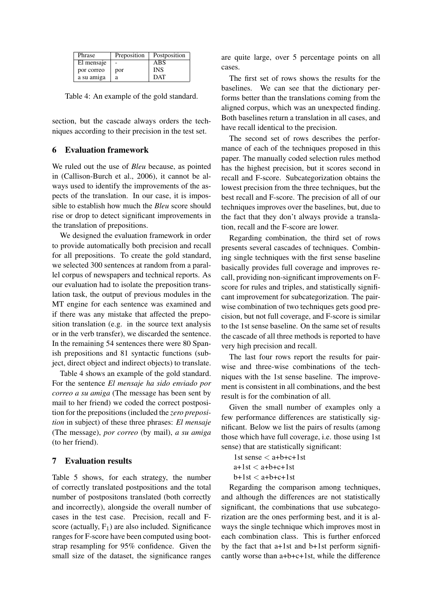| Phrase     | Preposition | Postposition |
|------------|-------------|--------------|
| El mensaje |             | ABS          |
| por correo | por         | <b>INS</b>   |
| a su amiga | а           | <b>DAT</b>   |

Table 4: An example of the gold standard.

section, but the cascade always orders the techniques according to their precision in the test set.

### 6 Evaluation framework

We ruled out the use of *Bleu* because, as pointed in (Callison-Burch et al., 2006), it cannot be always used to identify the improvements of the aspects of the translation. In our case, it is impossible to establish how much the *Bleu* score should rise or drop to detect significant improvements in the translation of prepositions.

We designed the evaluation framework in order to provide automatically both precision and recall for all prepositions. To create the gold standard, we selected 300 sentences at random from a parallel corpus of newspapers and technical reports. As our evaluation had to isolate the preposition translation task, the output of previous modules in the MT engine for each sentence was examined and if there was any mistake that affected the preposition translation (e.g. in the source text analysis or in the verb transfer), we discarded the sentence. In the remaining 54 sentences there were 80 Spanish prepositions and 81 syntactic functions (subject, direct object and indirect objects) to translate.

Table 4 shows an example of the gold standard. For the sentence *El mensaje ha sido enviado por correo a su amiga* (The message has been sent by mail to her friend) we coded the correct postposition for the prepositions (included the *zero preposition* in subject) of these three phrases: *El mensaje* (The message), *por correo* (by mail), *a su amiga* (to her friend).

#### 7 Evaluation results

Table 5 shows, for each strategy, the number of correctly translated postpositions and the total number of postpositons translated (both correctly and incorrectly), alongside the overall number of cases in the test case. Precision, recall and Fscore (actually,  $F_1$ ) are also included. Significance ranges for F-score have been computed using bootstrap resampling for 95% confidence. Given the small size of the dataset, the significance ranges

are quite large, over 5 percentage points on all cases.

The first set of rows shows the results for the baselines. We can see that the dictionary performs better than the translations coming from the aligned corpus, which was an unexpected finding. Both baselines return a translation in all cases, and have recall identical to the precision.

The second set of rows describes the performance of each of the techniques proposed in this paper. The manually coded selection rules method has the highest precision, but it scores second in recall and F-score. Subcategorization obtains the lowest precision from the three techniques, but the best recall and F-score. The precision of all of our techniques improves over the baselines, but, due to the fact that they don't always provide a translation, recall and the F-score are lower.

Regarding combination, the third set of rows presents several cascades of techniques. Combining single techniques with the first sense baseline basically provides full coverage and improves recall, providing non-significant improvements on Fscore for rules and triples, and statistically significant improvement for subcategorization. The pairwise combination of two techniques gets good precision, but not full coverage, and F-score is similar to the 1st sense baseline. On the same set of results the cascade of all three methods is reported to have very high precision and recall.

The last four rows report the results for pairwise and three-wise combinations of the techniques with the 1st sense baseline. The improvement is consistent in all combinations, and the best result is for the combination of all.

Given the small number of examples only a few performance differences are statistically significant. Below we list the pairs of results (among those which have full coverage, i.e. those using 1st sense) that are statistically significant:

1st sense < a+b+c+1st  $a+1$ st  $\lt$   $a+b+c+1$ st  $b+1$ st  $\lt$  a+b+c+1st

Regarding the comparison among techniques, and although the differences are not statistically significant, the combinations that use subcategorization are the ones performing best, and it is always the single technique which improves most in each combination class. This is further enforced by the fact that a+1st and b+1st perform significantly worse than a+b+c+1st, while the difference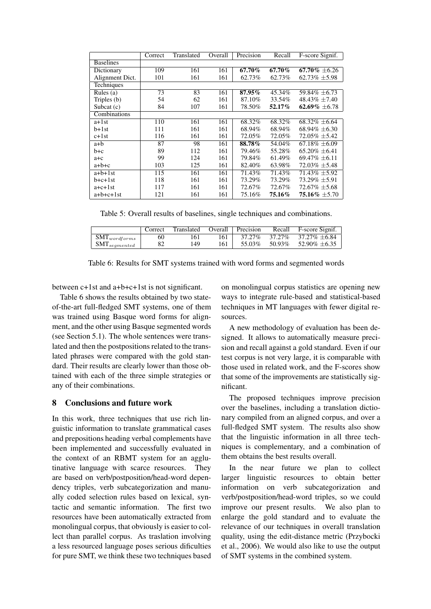|                  | Correct | Translated | Overall | Precision | Recall | F-score Signif.    |
|------------------|---------|------------|---------|-----------|--------|--------------------|
| <b>Baselines</b> |         |            |         |           |        |                    |
| Dictionary       | 109     | 161        | 161     | 67.70%    | 67.70% | $67.70\% \pm 6.26$ |
| Alignment Dict.  | 101     | 161        | 161     | 62.73%    | 62.73% | $62.73\% \pm 5.98$ |
| Techniques       |         |            |         |           |        |                    |
| Rules $(a)$      | 73      | 83         | 161     | 87.95%    | 45.34% | 59.84% ±6.73       |
| Triples (b)      | 54      | 62         | 161     | 87.10%    | 33.54% | 48.43\% $\pm$ 7.40 |
| Subcat $(c)$     | 84      | 107        | 161     | 78.50%    | 52.17% | 62.69% $\pm$ 6.78  |
| Combinations     |         |            |         |           |        |                    |
| $a+1st$          | 110     | 161        | 161     | 68.32%    | 68.32% | $68.32\% \pm 6.64$ |
| $b+1st$          | 111     | 161        | 161     | 68.94%    | 68.94% | $68.94\% \pm 6.30$ |
| $c+1st$          | 116     | 161        | 161     | 72.05%    | 72.05% | $72.05\% \pm 5.42$ |
| a+b              | 87      | 98         | 161     | 88.78%    | 54.04% | $67.18\% \pm 6.09$ |
| $b+c$            | 89      | 112        | 161     | 79.46%    | 55.28% | $65.20\% + 6.41$   |
| $a + c$          | 99      | 124        | 161     | 79.84%    | 61.49% | $69.47\% \pm 6.11$ |
| $a+b+c$          | 103     | 125        | 161     | 82.40%    | 63.98% | $72.03\% \pm 5.48$ |
| $a+b+1st$        | 115     | 161        | 161     | 71.43%    | 71.43% | $71.43\% \pm 5.92$ |
| $b+c+1st$        | 118     | 161        | 161     | 73.29%    | 73.29% | $73.29\% \pm 5.91$ |
| $a+c+1st$        | 117     | 161        | 161     | 72.67%    | 72.67% | $72.67\% \pm 5.68$ |
| a+b+c+1st        | 121     | 161        | 161     | 75.16%    | 75.16% | $75.16\% \pm 5.70$ |

Table 5: Overall results of baselines, single techniques and combinations.

|                         | Correct | Translated | Overall | Precision | Recall | F-score Signif.    |
|-------------------------|---------|------------|---------|-----------|--------|--------------------|
| $SMT_{wordforms}$       | 60      |            | 161     | 37.27%    | 37.27% | $37.27\% + 6.84$   |
| $\text{SMT}_{semented}$ |         | 149        | 161     | 55.03%    | 50.93% | $52.90\% \pm 6.35$ |

Table 6: Results for SMT systems trained with word forms and segmented words

between c+1st and a+b+c+1st is not significant.

Table 6 shows the results obtained by two stateof-the-art full-fledged SMT systems, one of them was trained using Basque word forms for alignment, and the other using Basque segmented words (see Section 5.1). The whole sentences were translated and then the postpositions related to the translated phrases were compared with the gold standard. Their results are clearly lower than those obtained with each of the three simple strategies or any of their combinations.

## 8 Conclusions and future work

In this work, three techniques that use rich linguistic information to translate grammatical cases and prepositions heading verbal complements have been implemented and successfully evaluated in the context of an RBMT system for an agglutinative language with scarce resources. They are based on verb/postposition/head-word dependency triples, verb subcategorization and manually coded selection rules based on lexical, syntactic and semantic information. The first two resources have been automatically extracted from monolingual corpus, that obviously is easier to collect than parallel corpus. As traslation involving a less resourced language poses serious dificulties for pure SMT, we think these two techniques based on monolingual corpus statistics are opening new ways to integrate rule-based and statistical-based techniques in MT languages with fewer digital resources.

A new methodology of evaluation has been designed. It allows to automatically measure precision and recall against a gold standard. Even if our test corpus is not very large, it is comparable with those used in related work, and the F-scores show that some of the improvements are statistically significant.

The proposed techniques improve precision over the baselines, including a translation dictionary compiled from an aligned corpus, and over a full-fledged SMT system. The results also show that the linguistic information in all three techniques is complementary, and a combination of them obtains the best results overall.

In the near future we plan to collect larger linguistic resources to obtain better information on verb subcategorization and verb/postposition/head-word triples, so we could improve our present results. We also plan to enlarge the gold standard and to evaluate the relevance of our techniques in overall translation quality, using the edit-distance metric (Przybocki et al., 2006). We would also like to use the output of SMT systems in the combined system.